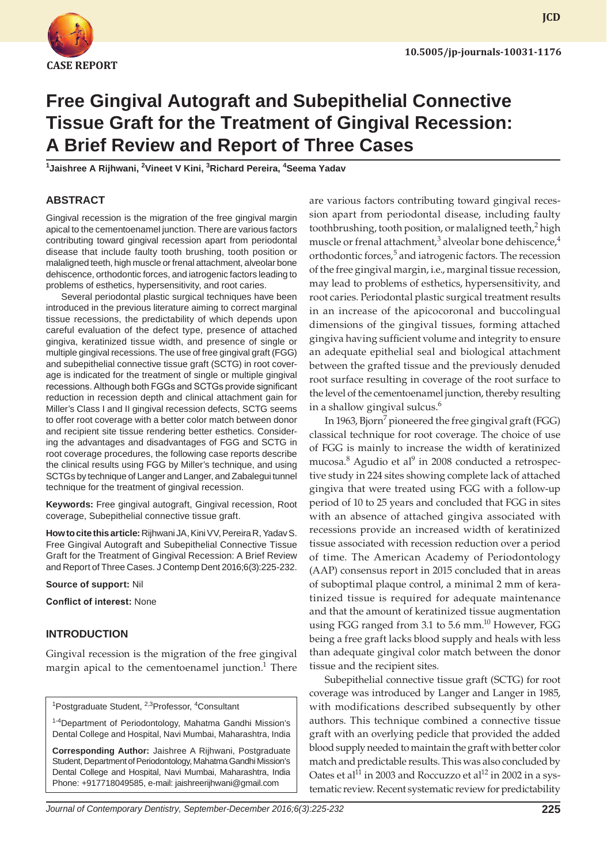

# **Free Gingival Autograft and Subepithelial Connective Tissue Graft for the Treatment of Gingival Recession: A Brief Review and Report of Three Cases**

<sup>1</sup>Jaishree A Rijhwani, <sup>2</sup>Vineet V Kini, <sup>3</sup>Richard Pereira, <sup>4</sup>Seema Yadav

#### **ABSTRACT**

Gingival recession is the migration of the free gingival margin apical to the cementoenamel junction. There are various factors contributing toward gingival recession apart from periodontal disease that include faulty tooth brushing, tooth position or malaligned teeth, high muscle or frenal attachment, alveolar bone dehiscence, orthodontic forces, and iatrogenic factors leading to problems of esthetics, hypersensitivity, and root caries.

Several periodontal plastic surgical techniques have been introduced in the previous literature aiming to correct marginal tissue recessions, the predictability of which depends upon careful evaluation of the defect type, presence of attached gingiva, keratinized tissue width, and presence of single or multiple gingival recessions. The use of free gingival graft (FGG) and subepithelial connective tissue graft (SCTG) in root coverage is indicated for the treatment of single or multiple gingival recessions. Although both FGGs and SCTGs provide significant reduction in recession depth and clinical attachment gain for Miller's Class I and II gingival recession defects, SCTG seems to offer root coverage with a better color match between donor and recipient site tissue rendering better esthetics. Considering the advantages and disadvantages of FGG and SCTG in root coverage procedures, the following case reports describe the clinical results using FGG by Miller's technique, and using SCTGs by technique of Langer and Langer, and Zabalegui tunnel technique for the treatment of gingival recession.

**Keywords:** Free gingival autograft, Gingival recession, Root coverage, Subepithelial connective tissue graft.

**How to cite this article:** Rijhwani JA, Kini VV, Pereira R, Yadav S. Free Gingival Autograft and Subepithelial Connective Tissue Graft for the Treatment of Gingival Recession: A Brief Review and Report of Three Cases. J Contemp Dent 2016;6(3):225-232.

**Source of support:** Nil

**Conflict of interest:** None

#### **INTRODUCTION**

Gingival recession is the migration of the free gingival margin apical to the cementoenamel junction.<sup>1</sup> There

<sup>1</sup>Postgraduate Student, <sup>2,3</sup>Professor, <sup>4</sup>Consultant

<sup>1-4</sup>Department of Periodontology, Mahatma Gandhi Mission's Dental College and Hospital, Navi Mumbai, Maharashtra, India

**Corresponding Author:** Jaishree A Rijhwani, Postgraduate Student, Department of Periodontology, Mahatma Gandhi Mission's Dental College and Hospital, Navi Mumbai, Maharashtra, India Phone: +917718049585, e-mail: jaishreerijhwani@gmail.com

are various factors contributing toward gingival recession apart from periodontal disease, including faulty toothbrushing, tooth position, or malaligned teeth,<sup>2</sup> high muscle or frenal attachment,<sup>3</sup> alveolar bone dehiscence,<sup>4</sup> orthodontic forces,<sup>5</sup> and iatrogenic factors. The recession of the free gingival margin, i.e., marginal tissue recession, may lead to problems of esthetics, hypersensitivity, and root caries. Periodontal plastic surgical treatment results in an increase of the apicocoronal and buccolingual dimensions of the gingival tissues, forming attached gingiva having sufficient volume and integrity to ensure an adequate epithelial seal and biological attachment between the grafted tissue and the previously denuded root surface resulting in coverage of the root surface to the level of the cementoenamel junction, thereby resulting in a shallow gingival sulcus.<sup>6</sup>

In 1963, Bjorn<sup>7</sup> pioneered the free gingival graft (FGG) classical technique for root coverage. The choice of use of FGG is mainly to increase the width of keratinized mucosa.<sup>8</sup> Agudio et al<sup>9</sup> in 2008 conducted a retrospective study in 224 sites showing complete lack of attached gingiva that were treated using FGG with a follow-up period of 10 to 25 years and concluded that FGG in sites with an absence of attached gingiva associated with recessions provide an increased width of keratinized tissue associated with recession reduction over a period of time. The American Academy of Periodontology (AAP) consensus report in 2015 concluded that in areas of suboptimal plaque control, a minimal 2 mm of keratinized tissue is required for adequate maintenance and that the amount of keratinized tissue augmentation using FGG ranged from 3.1 to 5.6 mm.<sup>10</sup> However, FGG being a free graft lacks blood supply and heals with less than adequate gingival color match between the donor tissue and the recipient sites.

Subepithelial connective tissue graft (SCTG) for root coverage was introduced by Langer and Langer in 1985, with modifications described subsequently by other authors. This technique combined a connective tissue graft with an overlying pedicle that provided the added blood supply needed to maintain the graft with better color match and predictable results. This was also concluded by Oates et al<sup>11</sup> in 2003 and Roccuzzo et al<sup>12</sup> in 2002 in a systematic review. Recent systematic review for predictability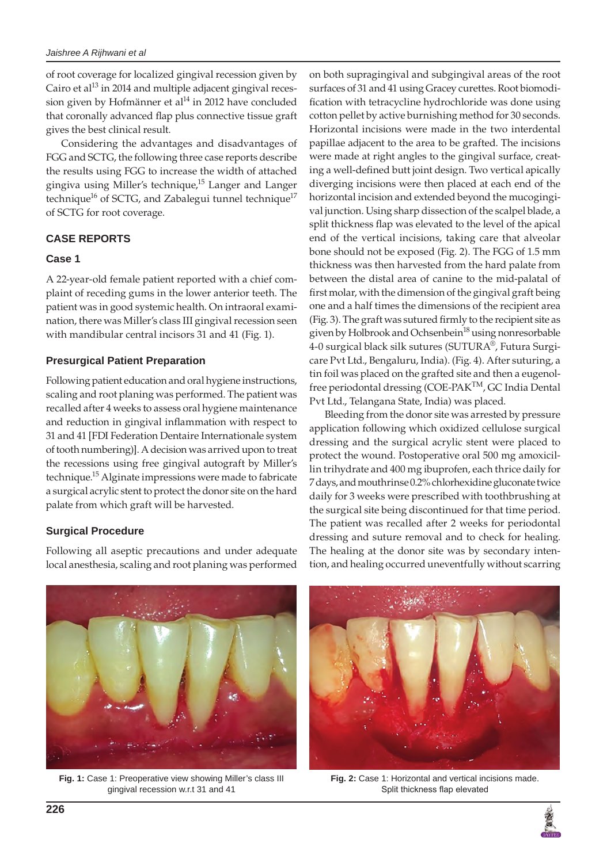of root coverage for localized gingival recession given by Cairo et al $^{13}$  in 2014 and multiple adjacent gingival recession given by Hofmänner et al<sup>14</sup> in 2012 have concluded that coronally advanced flap plus connective tissue graft gives the best clinical result.

Considering the advantages and disadvantages of FGG and SCTG, the following three case reports describe the results using FGG to increase the width of attached gingiva using Miller's technique,<sup>15</sup> Langer and Langer technique<sup>16</sup> of SCTG, and Zabalegui tunnel technique<sup>17</sup> of SCTG for root coverage.

# **CASE REPORTS**

## **Case 1**

A 22-year-old female patient reported with a chief complaint of receding gums in the lower anterior teeth. The patient was in good systemic health. On intraoral examination, there was Miller's class III gingival recession seen with mandibular central incisors 31 and 41 (Fig. 1).

# **Presurgical Patient Preparation**

Following patient education and oral hygiene instructions, scaling and root planing was performed. The patient was recalled after 4 weeks to assess oral hygiene maintenance and reduction in gingival inflammation with respect to 31 and 41 [FDI Federation Dentaire Internationale system of tooth numbering)]. A decision was arrived upon to treat the recessions using free gingival autograft by Miller's technique.<sup>15</sup> Alginate impressions were made to fabricate a surgical acrylic stent to protect the donor site on the hard palate from which graft will be harvested.

# **Surgical Procedure**

Following all aseptic precautions and under adequate local anesthesia, scaling and root planing was performed

on both supragingival and subgingival areas of the root surfaces of 31 and 41 using Gracey curettes. Root biomodification with tetracycline hydrochloride was done using cotton pellet by active burnishing method for 30 seconds. Horizontal incisions were made in the two interdental papillae adjacent to the area to be grafted. The incisions were made at right angles to the gingival surface, creating a well-defined butt joint design. Two vertical apically diverging incisions were then placed at each end of the horizontal incision and extended beyond the mucogingival junction. Using sharp dissection of the scalpel blade, a split thickness flap was elevated to the level of the apical end of the vertical incisions, taking care that alveolar bone should not be exposed (Fig. 2). The FGG of 1.5 mm thickness was then harvested from the hard palate from between the distal area of canine to the mid-palatal of first molar, with the dimension of the gingival graft being one and a half times the dimensions of the recipient area (Fig. 3). The graft was sutured firmly to the recipient site as given by Holbrook and Ochsenbein<sup>18</sup> using nonresorbable 4-0 surgical black silk sutures (SUTURA®, Futura Surgicare Pvt Ltd., Bengaluru, India). (Fig. 4). After suturing, a tin foil was placed on the grafted site and then a eugenolfree periodontal dressing (COE-PAK<sup>TM</sup>, GC India Dental Pvt Ltd., Telangana State, India) was placed.

Bleeding from the donor site was arrested by pressure application following which oxidized cellulose surgical dressing and the surgical acrylic stent were placed to protect the wound. Postoperative oral 500 mg amoxicillin trihydrate and 400 mg ibuprofen, each thrice daily for 7 days, and mouthrinse 0.2% chlorhexidine gluconate twice daily for 3 weeks were prescribed with toothbrushing at the surgical site being discontinued for that time period. The patient was recalled after 2 weeks for periodontal dressing and suture removal and to check for healing. The healing at the donor site was by secondary intention, and healing occurred uneventfully without scarring



**Fig. 1:** Case 1: Preoperative view showing Miller's class III gingival recession w.r.t 31 and 41



**Fig. 2:** Case 1: Horizontal and vertical incisions made. Split thickness flap elevated

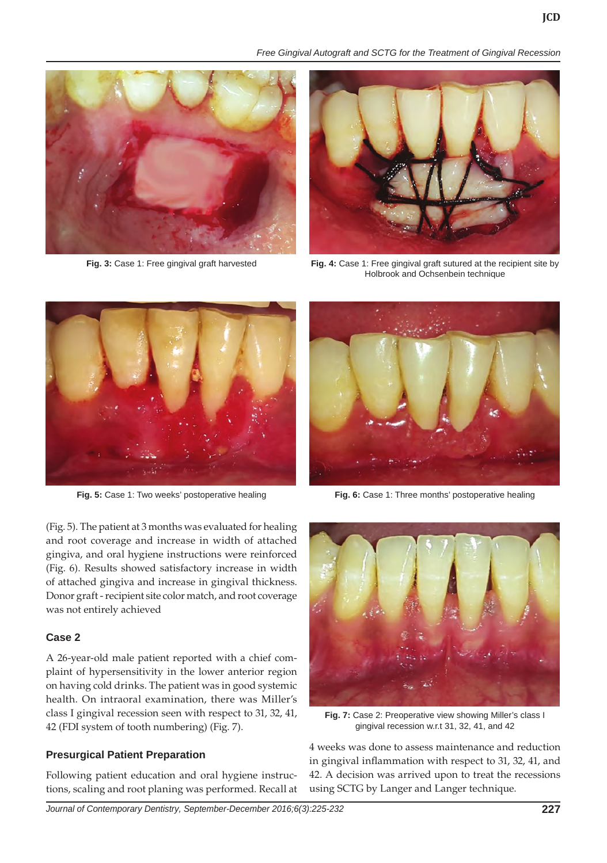





**Fig. 3:** Case 1: Free gingival graft harvested **Fig. 4:** Case 1: Free gingival graft sutured at the recipient site by Holbrook and Ochsenbein technique



(Fig. 5). The patient at 3 months was evaluated for healing and root coverage and increase in width of attached gingiva, and oral hygiene instructions were reinforced (Fig. 6). Results showed satisfactory increase in width of attached gingiva and increase in gingival thickness. Donor graft - recipient site color match, and root coverage was not entirely achieved

### **Case 2**

A 26-year-old male patient reported with a chief complaint of hypersensitivity in the lower anterior region on having cold drinks. The patient was in good systemic health. On intraoral examination, there was Miller's class I gingival recession seen with respect to 31, 32, 41, 42 (FDI system of tooth numbering) (Fig. 7).

### **Presurgical Patient Preparation**

Following patient education and oral hygiene instructions, scaling and root planing was performed. Recall at



**Fig. 5:** Case 1: Two weeks' postoperative healing **Fig. 6:** Case 1: Three months' postoperative healing



**Fig. 7:** Case 2: Preoperative view showing Miller's class I gingival recession w.r.t 31, 32, 41, and 42

4 weeks was done to assess maintenance and reduction in gingival inflammation with respect to 31, 32, 41, and 42. A decision was arrived upon to treat the recessions using SCTG by Langer and Langer technique.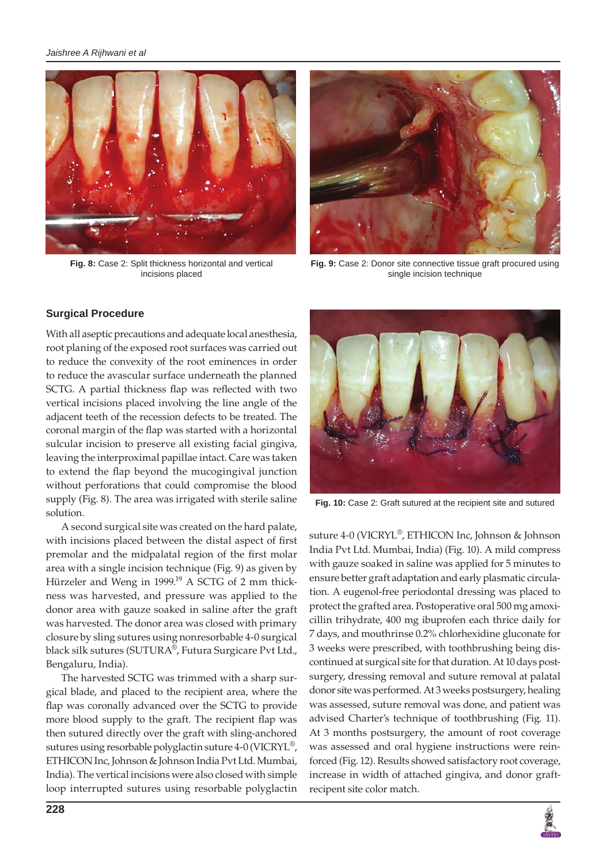

**Fig. 8:** Case 2: Split thickness horizontal and vertical incisions placed



**Fig. 9:** Case 2: Donor site connective tissue graft procured using single incision technique

#### **Surgical Procedure**

With all aseptic precautions and adequate local anesthesia, root planing of the exposed root surfaces was carried out to reduce the convexity of the root eminences in order to reduce the avascular surface underneath the planned SCTG. A partial thickness flap was reflected with two vertical incisions placed involving the line angle of the adjacent teeth of the recession defects to be treated. The coronal margin of the flap was started with a horizontal sulcular incision to preserve all existing facial gingiva, leaving the interproximal papillae intact. Care was taken to extend the flap beyond the mucogingival junction without perforations that could compromise the blood supply (Fig. 8). The area was irrigated with sterile saline solution.

A second surgical site was created on the hard palate, with incisions placed between the distal aspect of first premolar and the midpalatal region of the first molar area with a single incision technique (Fig. 9) as given by Hürzeler and Weng in 1999.<sup>19</sup> A SCTG of 2 mm thickness was harvested, and pressure was applied to the donor area with gauze soaked in saline after the graft was harvested. The donor area was closed with primary closure by sling sutures using nonresorbable 4-0 surgical black silk sutures (SUTURA®, Futura Surgicare Pvt Ltd., Bengaluru, India).

The harvested SCTG was trimmed with a sharp surgical blade, and placed to the recipient area, where the flap was coronally advanced over the SCTG to provide more blood supply to the graft. The recipient flap was then sutured directly over the graft with sling-anchored sutures using resorbable polyglactin suture 4-0 (VICRYL®, ETHICON Inc, Johnson & Johnson India Pvt Ltd. Mumbai, India). The vertical incisions were also closed with simple loop interrupted sutures using resorbable polyglactin



**Fig. 10:** Case 2: Graft sutured at the recipient site and sutured

suture 4-0 (VICRYL®, ETHICON Inc, Johnson & Johnson India Pvt Ltd. Mumbai, India) (Fig. 10). A mild compress with gauze soaked in saline was applied for 5 minutes to ensure better graft adaptation and early plasmatic circulation. A eugenol-free periodontal dressing was placed to protect the grafted area. Postoperative oral 500 mg amoxicillin trihydrate, 400 mg ibuprofen each thrice daily for 7 days, and mouthrinse 0.2% chlorhexidine gluconate for 3 weeks were prescribed, with toothbrushing being discontinued at surgical site for that duration. At 10 days postsurgery, dressing removal and suture removal at palatal donor site was performed. At 3 weeks postsurgery, healing was assessed, suture removal was done, and patient was advised Charter's technique of toothbrushing (Fig. 11). At 3 months postsurgery, the amount of root coverage was assessed and oral hygiene instructions were reinforced (Fig. 12). Results showed satisfactory root coverage, increase in width of attached gingiva, and donor graftrecipent site color match.

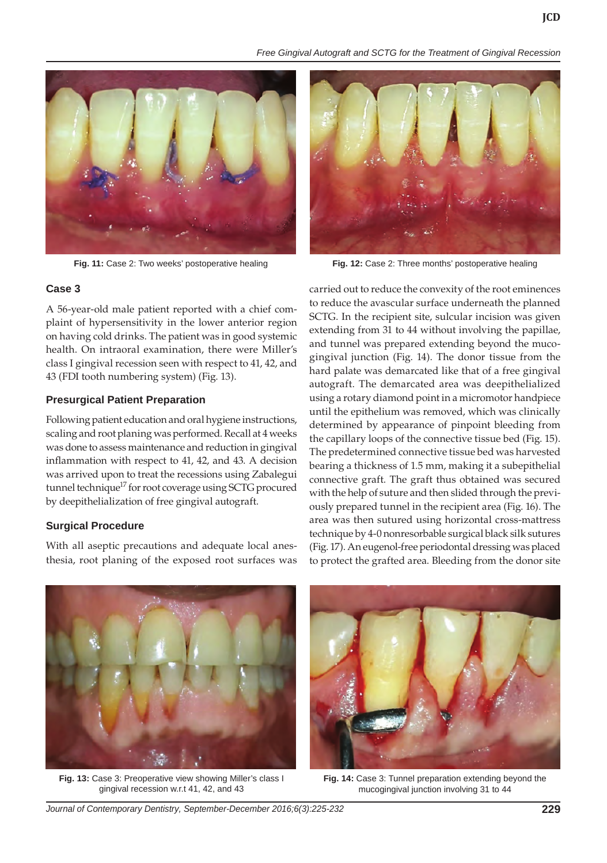*Free Gingival Autograft and SCTG for the Treatment of Gingival Recession*





A 56-year-old male patient reported with a chief complaint of hypersensitivity in the lower anterior region on having cold drinks. The patient was in good systemic health. On intraoral examination, there were Miller's class I gingival recession seen with respect to 41, 42, and 43 (FDI tooth numbering system) (Fig. 13).

### **Presurgical Patient Preparation**

Following patient education and oral hygiene instructions, scaling and root planing was performed. Recall at 4 weeks was done to assess maintenance and reduction in gingival inflammation with respect to 41, 42, and 43. A decision was arrived upon to treat the recessions using Zabalegui tunnel technique<sup>17</sup> for root coverage using SCTG procured by deepithelialization of free gingival autograft.

### **Surgical Procedure**

With all aseptic precautions and adequate local anesthesia, root planing of the exposed root surfaces was



**Fig. 11:** Case 2: Two weeks' postoperative healing **Fig. 12:** Case 2: Three months' postoperative healing

carried out to reduce the convexity of the root eminences to reduce the avascular surface underneath the planned SCTG. In the recipient site, sulcular incision was given extending from 31 to 44 without involving the papillae, and tunnel was prepared extending beyond the mucogingival junction (Fig. 14). The donor tissue from the hard palate was demarcated like that of a free gingival autograft. The demarcated area was deepithelialized using a rotary diamond point in a micromotor handpiece until the epithelium was removed, which was clinically determined by appearance of pinpoint bleeding from the capillary loops of the connective tissue bed (Fig. 15). The predetermined connective tissue bed was harvested bearing a thickness of 1.5 mm, making it a subepithelial connective graft. The graft thus obtained was secured with the help of suture and then slided through the previously prepared tunnel in the recipient area (Fig. 16). The area was then sutured using horizontal cross-mattress technique by 4-0 nonresorbable surgical black silk sutures (Fig. 17). An eugenol-free periodontal dressing was placed to protect the grafted area. Bleeding from the donor site



**Fig. 13:** Case 3: Preoperative view showing Miller's class I gingival recession w.r.t 41, 42, and 43



**Fig. 14:** Case 3: Tunnel preparation extending beyond the mucogingival junction involving 31 to 44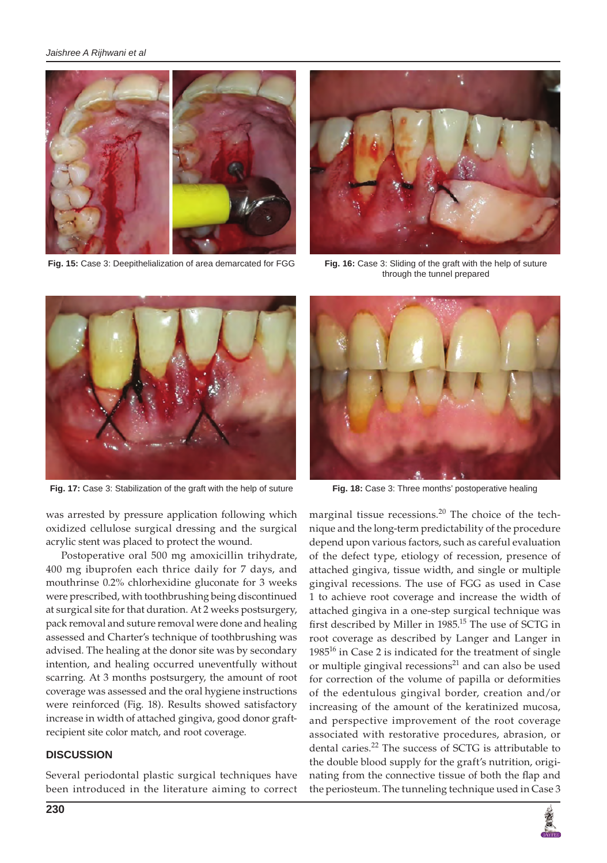#### *Jaishree A Rijhwani et al*



**Fig. 15:** Case 3: Deepithelialization of area demarcated for FGG



**Fig. 16:** Case 3: Sliding of the graft with the help of suture through the tunnel prepared



**Fig. 17:** Case 3: Stabilization of the graft with the help of suture **Fig. 18:** Case 3: Three months' postoperative healing

was arrested by pressure application following which oxidized cellulose surgical dressing and the surgical acrylic stent was placed to protect the wound.

Postoperative oral 500 mg amoxicillin trihydrate, 400 mg ibuprofen each thrice daily for 7 days, and mouthrinse 0.2% chlorhexidine gluconate for 3 weeks were prescribed, with toothbrushing being discontinued at surgical site for that duration. At 2 weeks postsurgery, pack removal and suture removal were done and healing assessed and Charter's technique of toothbrushing was advised. The healing at the donor site was by secondary intention, and healing occurred uneventfully without scarring. At 3 months postsurgery, the amount of root coverage was assessed and the oral hygiene instructions were reinforced (Fig. 18). Results showed satisfactory increase in width of attached gingiva, good donor graftrecipient site color match, and root coverage.

#### **DISCUSSION**

Several periodontal plastic surgical techniques have been introduced in the literature aiming to correct



marginal tissue recessions. $^{20}$  The choice of the technique and the long-term predictability of the procedure depend upon various factors, such as careful evaluation of the defect type, etiology of recession, presence of attached gingiva, tissue width, and single or multiple gingival recessions. The use of FGG as used in Case 1 to achieve root coverage and increase the width of attached gingiva in a one-step surgical technique was first described by Miller in 1985.<sup>15</sup> The use of SCTG in root coverage as described by Langer and Langer in  $1985^{16}$  in Case 2 is indicated for the treatment of single or multiple gingival recessions $21$  and can also be used for correction of the volume of papilla or deformities of the edentulous gingival border, creation and/or increasing of the amount of the keratinized mucosa, and perspective improvement of the root coverage associated with restorative procedures, abrasion, or dental caries.<sup>22</sup> The success of SCTG is attributable to the double blood supply for the graft's nutrition, originating from the connective tissue of both the flap and the periosteum. The tunneling technique used in Case 3

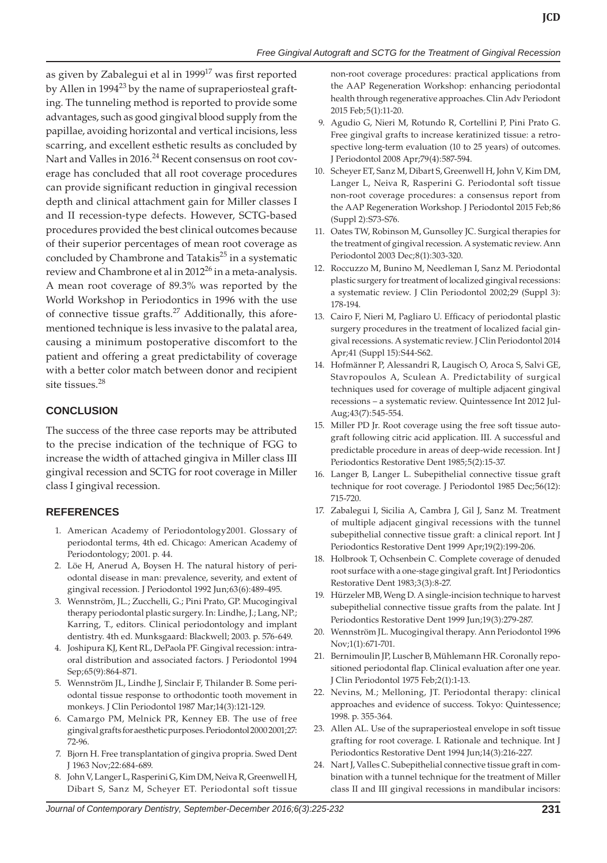as given by Zabalegui et al in 1999<sup>17</sup> was first reported by Allen in 1994<sup>23</sup> by the name of supraperiosteal grafting. The tunneling method is reported to provide some advantages, such as good gingival blood supply from the papillae, avoiding horizontal and vertical incisions, less scarring, and excellent esthetic results as concluded by Nart and Valles in 2016.<sup>24</sup> Recent consensus on root coverage has concluded that all root coverage procedures can provide significant reduction in gingival recession depth and clinical attachment gain for Miller classes I and II recession-type defects. However, SCTG-based procedures provided the best clinical outcomes because of their superior percentages of mean root coverage as concluded by Chambrone and Tatakis $^{25}$  in a systematic review and Chambrone et al in  $2012^{26}$  in a meta-analysis. A mean root coverage of 89.3% was reported by the World Workshop in Periodontics in 1996 with the use of connective tissue grafts.<sup>27</sup> Additionally, this aforementioned technique is less invasive to the palatal area, causing a minimum postoperative discomfort to the patient and offering a great predictability of coverage with a better color match between donor and recipient site tissues.<sup>28</sup>

### **CONCLUSION**

The success of the three case reports may be attributed to the precise indication of the technique of FGG to increase the width of attached gingiva in Miller class III gingival recession and SCTG for root coverage in Miller class I gingival recession.

### **REFERENCES**

- 1. American Academy of Periodontology2001. Glossary of periodontal terms, 4th ed. Chicago: American Academy of Periodontology; 2001. p. 44.
- 2. Löe H, Anerud A, Boysen H. The natural history of periodontal disease in man: prevalence, severity, and extent of gingival recession. J Periodontol 1992 Jun;63(6):489-495.
- 3. Wennström, JL.; Zucchelli, G.; Pini Prato, GP. Mucogingival therapy periodontal plastic surgery. In: Lindhe, J.; Lang, NP.; Karring, T., editors. Clinical periodontology and implant dentistry. 4th ed. Munksgaard: Blackwell; 2003. p. 576-649.
- 4. Joshipura KJ, Kent RL, DePaola PF. Gingival recession: intraoral distribution and associated factors. J Periodontol 1994 Sep;65(9):864-871.
- 5. Wennström JL, Lindhe J, Sinclair F, Thilander B. Some periodontal tissue response to orthodontic tooth movement in monkeys. J Clin Periodontol 1987 Mar;14(3):121-129.
- 6. Camargo PM, Melnick PR, Kenney EB. The use of free gingival grafts for aesthetic purposes. Periodontol 2000 2001;27: 72-96.
- 7. Bjorn H. Free transplantation of gingiva propria. Swed Dent J 1963 Nov;22:684-689.
- 8. John V, Langer L, Rasperini G, Kim DM, Neiva R, Greenwell H, Dibart S, Sanz M, Scheyer ET. Periodontal soft tissue

non-root coverage procedures: practical applications from the AAP Regeneration Workshop: enhancing periodontal health through regenerative approaches. Clin Adv Periodont 2015 Feb;5(1):11-20.

- 9. Agudio G, Nieri M, Rotundo R, Cortellini P, Pini Prato G. Free gingival grafts to increase keratinized tissue: a retrospective long-term evaluation (10 to 25 years) of outcomes. J Periodontol 2008 Apr;79(4):587-594.
- 10. Scheyer ET, Sanz M, Dibart S, Greenwell H, John V, Kim DM, Langer L, Neiva R, Rasperini G. Periodontal soft tissue non-root coverage procedures: a consensus report from the AAP Regeneration Workshop. J Periodontol 2015 Feb;86 (Suppl 2):S73-S76.
- 11. Oates TW, Robinson M, Gunsolley JC. Surgical therapies for the treatment of gingival recession. A systematic review. Ann Periodontol 2003 Dec;8(1):303-320.
- 12. Roccuzzo M, Bunino M, Needleman I, Sanz M. Periodontal plastic surgery for treatment of localized gingival recessions: a systematic review. J Clin Periodontol 2002;29 (Suppl 3): 178-194.
- 13. Cairo F, Nieri M, Pagliaro U. Efficacy of periodontal plastic surgery procedures in the treatment of localized facial gingival recessions. A systematic review. J Clin Periodontol 2014 Apr;41 (Suppl 15):S44-S62.
- 14. Hofmänner P, Alessandri R, Laugisch O, Aroca S, Salvi GE, Stavropoulos A, Sculean A. Predictability of surgical techniques used for coverage of multiple adjacent gingival recessions – a systematic review. Quintessence Int 2012 Jul-Aug;43(7):545-554.
- 15. Miller PD Jr. Root coverage using the free soft tissue autograft following citric acid application. III. A successful and predictable procedure in areas of deep-wide recession. Int J Periodontics Restorative Dent 1985;5(2):15-37.
- 16. Langer B, Langer L. Subepithelial connective tissue graft technique for root coverage. J Periodontol 1985 Dec;56(12): 715-720.
- 17. Zabalegui I, Sicilia A, Cambra J, Gil J, Sanz M. Treatment of multiple adjacent gingival recessions with the tunnel subepithelial connective tissue graft: a clinical report. Int J Periodontics Restorative Dent 1999 Apr;19(2):199-206.
- 18. Holbrook T, Ochsenbein C. Complete coverage of denuded root surface with a one-stage gingival graft. Int J Periodontics Restorative Dent 1983;3(3):8-27.
- 19. Hürzeler MB, Weng D. A single-incision technique to harvest subepithelial connective tissue grafts from the palate. Int J Periodontics Restorative Dent 1999 Jun;19(3):279-287.
- 20. Wennström JL. Mucogingival therapy. Ann Periodontol 1996 Nov;1(1):671-701.
- 21. Bernimoulin JP, Luscher B, Mühlemann HR. Coronally repositioned periodontal flap. Clinical evaluation after one year. J Clin Periodontol 1975 Feb;2(1):1-13.
- 22. Nevins, M.; Melloning, JT. Periodontal therapy: clinical approaches and evidence of success. Tokyo: Quintessence; 1998. p. 355-364.
- 23. Allen AL. Use of the supraperiosteal envelope in soft tissue grafting for root coverage. I. Rationale and technique. Int J Periodontics Restorative Dent 1994 Jun;14(3):216-227.
- 24. Nart J, Valles C. Subepithelial connective tissue graft in combination with a tunnel technique for the treatment of Miller class II and III gingival recessions in mandibular incisors: